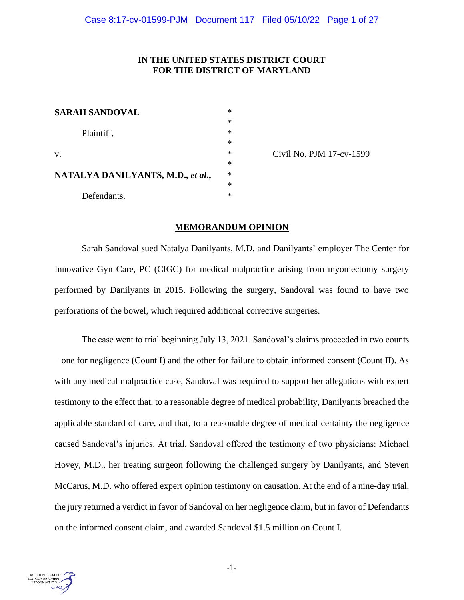# **IN THE UNITED STATES DISTRICT COURT FOR THE DISTRICT OF MARYLAND**

| <b>SARAH SANDOVAL</b>             | ∗      |
|-----------------------------------|--------|
| Plaintiff,                        | $\ast$ |
|                                   | $\ast$ |
|                                   | $\ast$ |
| V.                                | $\ast$ |
|                                   | $\ast$ |
| NATALYA DANILYANTS, M.D., et al., | $\ast$ |
|                                   | $\ast$ |
| Defendants.                       | $\ast$ |

Civil No. PJM 17-cv-1599

# **MEMORANDUM OPINION**

Sarah Sandoval sued Natalya Danilyants, M.D. and Danilyants' employer The Center for Innovative Gyn Care, PC (CIGC) for medical malpractice arising from myomectomy surgery performed by Danilyants in 2015. Following the surgery, Sandoval was found to have two perforations of the bowel, which required additional corrective surgeries.

The case went to trial beginning July 13, 2021. Sandoval's claims proceeded in two counts – one for negligence (Count I) and the other for failure to obtain informed consent (Count II). As with any medical malpractice case, Sandoval was required to support her allegations with expert testimony to the effect that, to a reasonable degree of medical probability, Danilyants breached the applicable standard of care, and that, to a reasonable degree of medical certainty the negligence caused Sandoval's injuries. At trial, Sandoval offered the testimony of two physicians: Michael Hovey, M.D., her treating surgeon following the challenged surgery by Danilyants, and Steven McCarus, M.D. who offered expert opinion testimony on causation. At the end of a nine-day trial, the jury returned a verdict in favor of Sandoval on her negligence claim, but in favor of Defendants on the informed consent claim, and awarded Sandoval \$1.5 million on Count I.

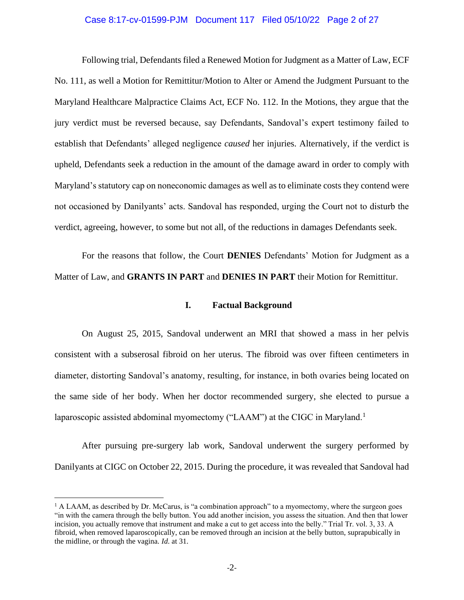### Case 8:17-cv-01599-PJM Document 117 Filed 05/10/22 Page 2 of 27

Following trial, Defendants filed a Renewed Motion for Judgment as a Matter of Law, ECF No. 111, as well a Motion for Remittitur/Motion to Alter or Amend the Judgment Pursuant to the Maryland Healthcare Malpractice Claims Act, ECF No. 112. In the Motions, they argue that the jury verdict must be reversed because, say Defendants, Sandoval's expert testimony failed to establish that Defendants' alleged negligence *caused* her injuries. Alternatively, if the verdict is upheld, Defendants seek a reduction in the amount of the damage award in order to comply with Maryland's statutory cap on noneconomic damages as well as to eliminate costs they contend were not occasioned by Danilyants' acts. Sandoval has responded, urging the Court not to disturb the verdict, agreeing, however, to some but not all, of the reductions in damages Defendants seek.

For the reasons that follow, the Court **DENIES** Defendants' Motion for Judgment as a Matter of Law, and **GRANTS IN PART** and **DENIES IN PART** their Motion for Remittitur.

#### **I. Factual Background**

On August 25, 2015, Sandoval underwent an MRI that showed a mass in her pelvis consistent with a subserosal fibroid on her uterus. The fibroid was over fifteen centimeters in diameter, distorting Sandoval's anatomy, resulting, for instance, in both ovaries being located on the same side of her body. When her doctor recommended surgery, she elected to pursue a laparoscopic assisted abdominal myomectomy ("LAAM") at the CIGC in Maryland.<sup>1</sup>

After pursuing pre-surgery lab work, Sandoval underwent the surgery performed by Danilyants at CIGC on October 22, 2015. During the procedure, it was revealed that Sandoval had

 $<sup>1</sup>$  A LAAM, as described by Dr. McCarus, is "a combination approach" to a myomectomy, where the surgeon goes</sup> "in with the camera through the belly button. You add another incision, you assess the situation. And then that lower incision, you actually remove that instrument and make a cut to get access into the belly." Trial Tr. vol. 3, 33. A fibroid, when removed laparoscopically, can be removed through an incision at the belly button, suprapubically in the midline, or through the vagina. *Id*. at 31.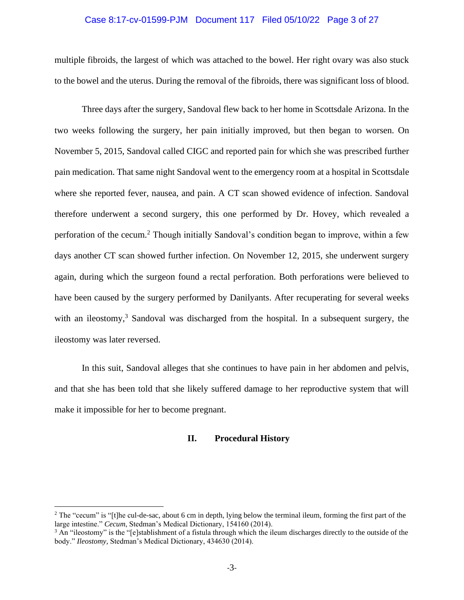## Case 8:17-cv-01599-PJM Document 117 Filed 05/10/22 Page 3 of 27

multiple fibroids, the largest of which was attached to the bowel. Her right ovary was also stuck to the bowel and the uterus. During the removal of the fibroids, there was significant loss of blood.

Three days after the surgery, Sandoval flew back to her home in Scottsdale Arizona. In the two weeks following the surgery, her pain initially improved, but then began to worsen. On November 5, 2015, Sandoval called CIGC and reported pain for which she was prescribed further pain medication. That same night Sandoval went to the emergency room at a hospital in Scottsdale where she reported fever, nausea, and pain. A CT scan showed evidence of infection. Sandoval therefore underwent a second surgery, this one performed by Dr. Hovey, which revealed a perforation of the cecum.<sup>2</sup> Though initially Sandoval's condition began to improve, within a few days another CT scan showed further infection. On November 12, 2015, she underwent surgery again, during which the surgeon found a rectal perforation. Both perforations were believed to have been caused by the surgery performed by Danilyants. After recuperating for several weeks with an ileostomy,  $3$  Sandoval was discharged from the hospital. In a subsequent surgery, the ileostomy was later reversed.

In this suit, Sandoval alleges that she continues to have pain in her abdomen and pelvis, and that she has been told that she likely suffered damage to her reproductive system that will make it impossible for her to become pregnant.

## **II. Procedural History**

 $2$  The "cecum" is "[t]he cul-de-sac, about 6 cm in depth, lying below the terminal ileum, forming the first part of the large intestine." *Cecum*, Stedman's Medical Dictionary, 154160 (2014).

 $3$  An "ileostomy" is the "[e]stablishment of a fistula through which the ileum discharges directly to the outside of the body." *Ileostomy,* Stedman's Medical Dictionary, 434630 (2014).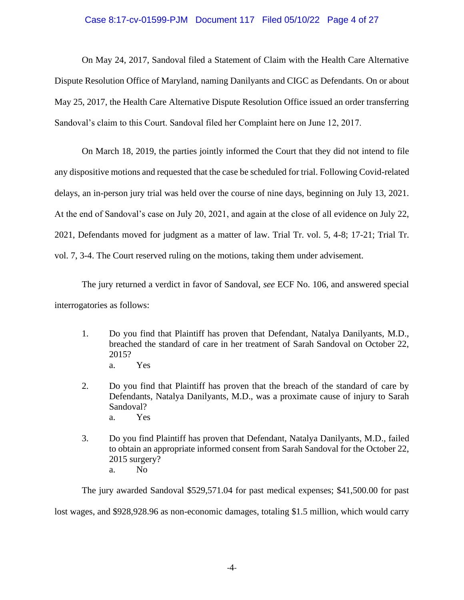# Case 8:17-cv-01599-PJM Document 117 Filed 05/10/22 Page 4 of 27

On May 24, 2017, Sandoval filed a Statement of Claim with the Health Care Alternative Dispute Resolution Office of Maryland, naming Danilyants and CIGC as Defendants. On or about May 25, 2017, the Health Care Alternative Dispute Resolution Office issued an order transferring Sandoval's claim to this Court. Sandoval filed her Complaint here on June 12, 2017.

On March 18, 2019, the parties jointly informed the Court that they did not intend to file any dispositive motions and requested that the case be scheduled for trial. Following Covid-related delays, an in-person jury trial was held over the course of nine days, beginning on July 13, 2021. At the end of Sandoval's case on July 20, 2021, and again at the close of all evidence on July 22, 2021, Defendants moved for judgment as a matter of law. Trial Tr. vol. 5, 4-8; 17-21; Trial Tr. vol. 7, 3-4. The Court reserved ruling on the motions, taking them under advisement.

The jury returned a verdict in favor of Sandoval, *see* ECF No. 106, and answered special interrogatories as follows:

- 1. Do you find that Plaintiff has proven that Defendant, Natalya Danilyants, M.D., breached the standard of care in her treatment of Sarah Sandoval on October 22, 2015? a. Yes
- 2. Do you find that Plaintiff has proven that the breach of the standard of care by Defendants, Natalya Danilyants, M.D., was a proximate cause of injury to Sarah Sandoval? a. Yes
- 3. Do you find Plaintiff has proven that Defendant, Natalya Danilyants, M.D., failed to obtain an appropriate informed consent from Sarah Sandoval for the October 22, 2015 surgery? a. No

The jury awarded Sandoval \$529,571.04 for past medical expenses; \$41,500.00 for past lost wages, and \$928,928.96 as non-economic damages, totaling \$1.5 million, which would carry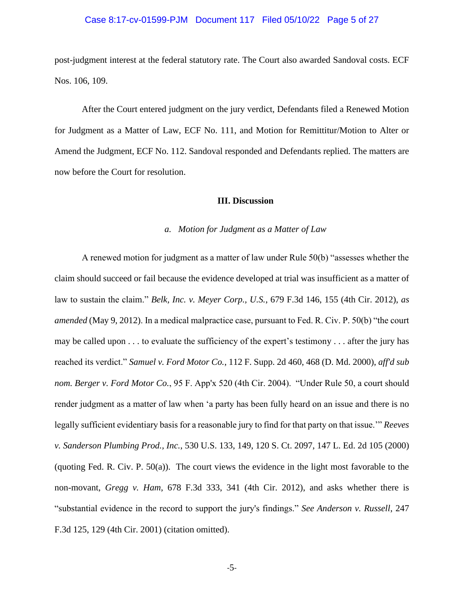### Case 8:17-cv-01599-PJM Document 117 Filed 05/10/22 Page 5 of 27

post-judgment interest at the federal statutory rate. The Court also awarded Sandoval costs. ECF Nos. 106, 109.

After the Court entered judgment on the jury verdict, Defendants filed a Renewed Motion for Judgment as a Matter of Law, ECF No. 111, and Motion for Remittitur/Motion to Alter or Amend the Judgment, ECF No. 112. Sandoval responded and Defendants replied. The matters are now before the Court for resolution.

# **III. Discussion**

#### *a. Motion for Judgment as a Matter of Law*

A renewed motion for judgment as a matter of law under Rule 50(b) "assesses whether the claim should succeed or fail because the evidence developed at trial was insufficient as a matter of law to sustain the claim." *Belk, Inc. v. Meyer Corp., U.S.*, 679 F.3d 146, 155 (4th Cir. 2012), *as amended* (May 9, 2012). In a medical malpractice case, pursuant to Fed. R. Civ. P. 50(b) "the court may be called upon . . . to evaluate the sufficiency of the expert's testimony . . . after the jury has reached its verdict." *Samuel v. Ford Motor Co.*, 112 F. Supp. 2d 460, 468 (D. Md. 2000), *aff'd sub nom. Berger v. Ford Motor Co.*, 95 F. App'x 520 (4th Cir. 2004). "Under Rule 50, a court should render judgment as a matter of law when 'a party has been fully heard on an issue and there is no legally sufficient evidentiary basis for a reasonable jury to find for that party on that issue.'" *Reeves v. Sanderson Plumbing Prod., Inc.*, 530 U.S. 133, 149, 120 S. Ct. 2097, 147 L. Ed. 2d 105 (2000) (quoting Fed. R. Civ. P. 50(a)). The court views the evidence in the light most favorable to the non-movant, *Gregg v. Ham*, 678 F.3d 333, 341 (4th Cir. 2012), and asks whether there is "substantial evidence in the record to support the jury's findings." *See Anderson v. Russell*, 247 F.3d 125, 129 (4th Cir. 2001) (citation omitted).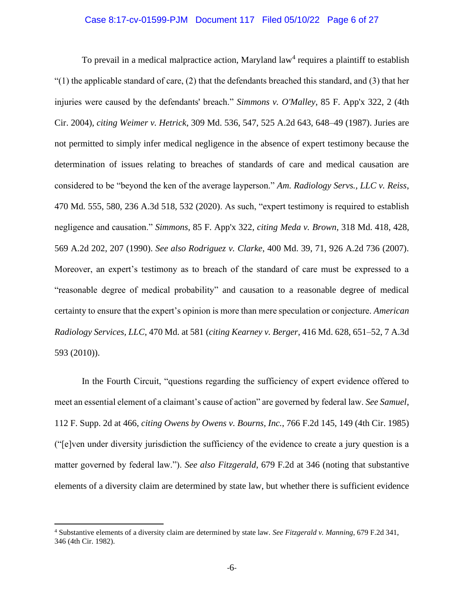### Case 8:17-cv-01599-PJM Document 117 Filed 05/10/22 Page 6 of 27

To prevail in a medical malpractice action, Maryland law<sup>4</sup> requires a plaintiff to establish  $(1)$  the applicable standard of care, (2) that the defendants breached this standard, and (3) that her injuries were caused by the defendants' breach." *Simmons v. O'Malley*, 85 F. App'x 322, 2 (4th Cir. 2004), *citing Weimer v. Hetrick*, 309 Md. 536, 547, 525 A.2d 643, 648–49 (1987). Juries are not permitted to simply infer medical negligence in the absence of expert testimony because the determination of issues relating to breaches of standards of care and medical causation are considered to be "beyond the ken of the average layperson." *Am. Radiology Servs., LLC v. Reiss*, 470 Md. 555, 580, 236 A.3d 518, 532 (2020). As such, "expert testimony is required to establish negligence and causation." *Simmons*, 85 F. App'x 322, *citing Meda v. Brown*, 318 Md. 418, 428, 569 A.2d 202, 207 (1990). *See also Rodriguez v. Clarke*, 400 Md. 39, 71, 926 A.2d 736 (2007). Moreover, an expert's testimony as to breach of the standard of care must be expressed to a "reasonable degree of medical probability" and causation to a reasonable degree of medical certainty to ensure that the expert's opinion is more than mere speculation or conjecture. *American Radiology Services, LLC*, 470 Md. at 581 (*citing Kearney v. Berger*, 416 Md. 628, 651–52, 7 A.3d 593 (2010)).

In the Fourth Circuit, "questions regarding the sufficiency of expert evidence offered to meet an essential element of a claimant's cause of action" are governed by federal law. *See Samuel*, 112 F. Supp. 2d at 466, *citing Owens by Owens v. Bourns, Inc.*, 766 F.2d 145, 149 (4th Cir. 1985) ("[e]ven under diversity jurisdiction the sufficiency of the evidence to create a jury question is a matter governed by federal law."). *See also Fitzgerald*, 679 F.2d at 346 (noting that substantive elements of a diversity claim are determined by state law, but whether there is sufficient evidence

<sup>4</sup> Substantive elements of a diversity claim are determined by state law. *See Fitzgerald v. Manning*, 679 F.2d 341, 346 (4th Cir. 1982).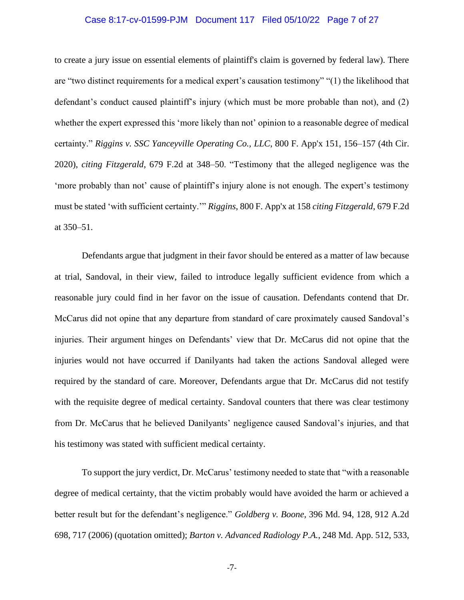### Case 8:17-cv-01599-PJM Document 117 Filed 05/10/22 Page 7 of 27

to create a jury issue on essential elements of plaintiff's claim is governed by federal law). There are "two distinct requirements for a medical expert's causation testimony" "(1) the likelihood that defendant's conduct caused plaintiff's injury (which must be more probable than not), and (2) whether the expert expressed this 'more likely than not' opinion to a reasonable degree of medical certainty." *Riggins v. SSC Yanceyville Operating Co., LLC*, 800 F. App'x 151, 156–157 (4th Cir. 2020), *citing Fitzgerald*, 679 F.2d at 348–50. "Testimony that the alleged negligence was the 'more probably than not' cause of plaintiff's injury alone is not enough. The expert's testimony must be stated 'with sufficient certainty.'" *Riggins*, 800 F. App'x at 158 *citing Fitzgerald*, 679 F.2d at 350–51.

Defendants argue that judgment in their favor should be entered as a matter of law because at trial, Sandoval, in their view, failed to introduce legally sufficient evidence from which a reasonable jury could find in her favor on the issue of causation. Defendants contend that Dr. McCarus did not opine that any departure from standard of care proximately caused Sandoval's injuries. Their argument hinges on Defendants' view that Dr. McCarus did not opine that the injuries would not have occurred if Danilyants had taken the actions Sandoval alleged were required by the standard of care. Moreover, Defendants argue that Dr. McCarus did not testify with the requisite degree of medical certainty. Sandoval counters that there was clear testimony from Dr. McCarus that he believed Danilyants' negligence caused Sandoval's injuries, and that his testimony was stated with sufficient medical certainty.

To support the jury verdict, Dr. McCarus' testimony needed to state that "with a reasonable degree of medical certainty, that the victim probably would have avoided the harm or achieved a better result but for the defendant's negligence." *Goldberg v. Boone*, 396 Md. 94, 128, 912 A.2d 698, 717 (2006) (quotation omitted); *Barton v. Advanced Radiology P.A.*, 248 Md. App. 512, 533,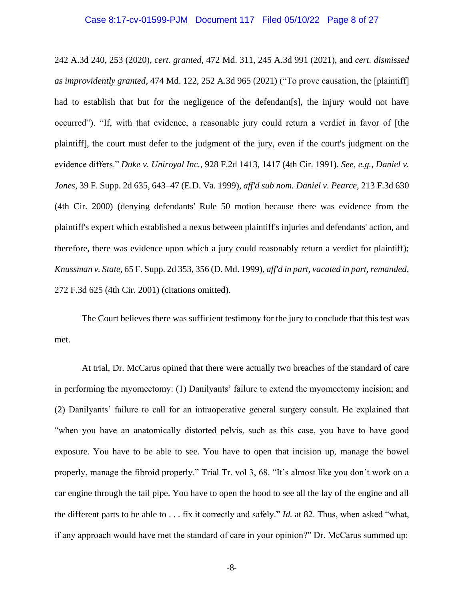### Case 8:17-cv-01599-PJM Document 117 Filed 05/10/22 Page 8 of 27

242 A.3d 240, 253 (2020), *cert. granted,* 472 Md. 311, 245 A.3d 991 (2021), and *cert. dismissed as improvidently granted,* 474 Md. 122, 252 A.3d 965 (2021) ("To prove causation, the [plaintiff] had to establish that but for the negligence of the defendant [s], the injury would not have occurred"). "If, with that evidence, a reasonable jury could return a verdict in favor of [the plaintiff], the court must defer to the judgment of the jury, even if the court's judgment on the evidence differs." *Duke v. Uniroyal Inc.*, 928 F.2d 1413, 1417 (4th Cir. 1991). *See, e.g., Daniel v. Jones*, 39 F. Supp. 2d 635, 643–47 (E.D. Va. 1999), *aff'd sub nom. Daniel v. Pearce*, 213 F.3d 630 (4th Cir. 2000) (denying defendants' Rule 50 motion because there was evidence from the plaintiff's expert which established a nexus between plaintiff's injuries and defendants' action, and therefore, there was evidence upon which a jury could reasonably return a verdict for plaintiff); *Knussman v. State*, 65 F. Supp. 2d 353, 356 (D. Md. 1999), *aff'd in part, vacated in part, remanded,* 272 F.3d 625 (4th Cir. 2001) (citations omitted).

The Court believes there was sufficient testimony for the jury to conclude that this test was met.

At trial, Dr. McCarus opined that there were actually two breaches of the standard of care in performing the myomectomy: (1) Danilyants' failure to extend the myomectomy incision; and (2) Danilyants' failure to call for an intraoperative general surgery consult. He explained that "when you have an anatomically distorted pelvis, such as this case, you have to have good exposure. You have to be able to see. You have to open that incision up, manage the bowel properly, manage the fibroid properly." Trial Tr. vol 3, 68. "It's almost like you don't work on a car engine through the tail pipe. You have to open the hood to see all the lay of the engine and all the different parts to be able to . . . fix it correctly and safely." *Id.* at 82. Thus, when asked "what, if any approach would have met the standard of care in your opinion?" Dr. McCarus summed up: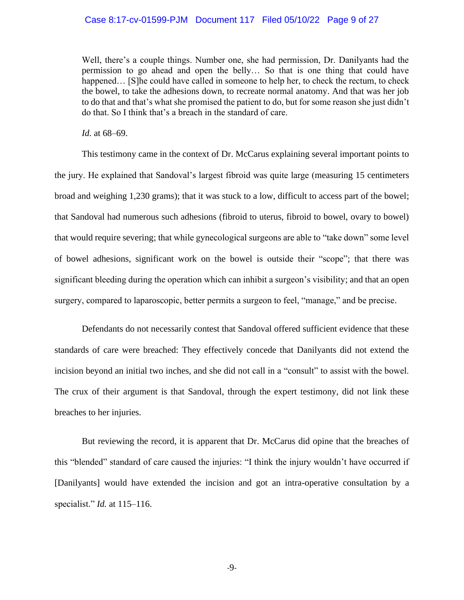## Case 8:17-cv-01599-PJM Document 117 Filed 05/10/22 Page 9 of 27

Well, there's a couple things. Number one, she had permission, Dr. Danilyants had the permission to go ahead and open the belly… So that is one thing that could have happened... [S]he could have called in someone to help her, to check the rectum, to check the bowel, to take the adhesions down, to recreate normal anatomy. And that was her job to do that and that's what she promised the patient to do, but for some reason she just didn't do that. So I think that's a breach in the standard of care.

*Id.* at 68–69.

This testimony came in the context of Dr. McCarus explaining several important points to the jury. He explained that Sandoval's largest fibroid was quite large (measuring 15 centimeters broad and weighing 1,230 grams); that it was stuck to a low, difficult to access part of the bowel; that Sandoval had numerous such adhesions (fibroid to uterus, fibroid to bowel, ovary to bowel) that would require severing; that while gynecological surgeons are able to "take down" some level of bowel adhesions, significant work on the bowel is outside their "scope"; that there was significant bleeding during the operation which can inhibit a surgeon's visibility; and that an open surgery, compared to laparoscopic, better permits a surgeon to feel, "manage," and be precise.

Defendants do not necessarily contest that Sandoval offered sufficient evidence that these standards of care were breached: They effectively concede that Danilyants did not extend the incision beyond an initial two inches, and she did not call in a "consult" to assist with the bowel. The crux of their argument is that Sandoval, through the expert testimony, did not link these breaches to her injuries.

But reviewing the record, it is apparent that Dr. McCarus did opine that the breaches of this "blended" standard of care caused the injuries: "I think the injury wouldn't have occurred if [Danilyants] would have extended the incision and got an intra-operative consultation by a specialist." *Id.* at 115–116.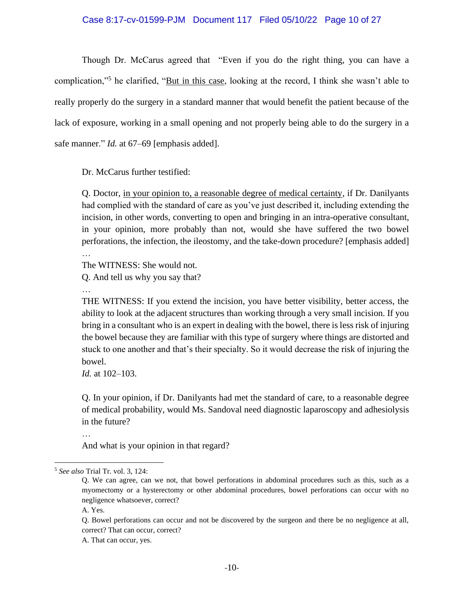## Case 8:17-cv-01599-PJM Document 117 Filed 05/10/22 Page 10 of 27

Though Dr. McCarus agreed that "Even if you do the right thing, you can have a complication,"<sup>5</sup> he clarified, "But in this case, looking at the record, I think she wasn't able to really properly do the surgery in a standard manner that would benefit the patient because of the lack of exposure, working in a small opening and not properly being able to do the surgery in a safe manner." *Id.* at 67–69 [emphasis added].

Dr. McCarus further testified:

Q. Doctor, in your opinion to, a reasonable degree of medical certainty, if Dr. Danilyants had complied with the standard of care as you've just described it, including extending the incision, in other words, converting to open and bringing in an intra-operative consultant, in your opinion, more probably than not, would she have suffered the two bowel perforations, the infection, the ileostomy, and the take-down procedure? [emphasis added] …

The WITNESS: She would not.

Q. And tell us why you say that?

…

THE WITNESS: If you extend the incision, you have better visibility, better access, the ability to look at the adjacent structures than working through a very small incision. If you bring in a consultant who is an expert in dealing with the bowel, there is less risk of injuring the bowel because they are familiar with this type of surgery where things are distorted and stuck to one another and that's their specialty. So it would decrease the risk of injuring the bowel.

*Id.* at 102–103.

Q. In your opinion, if Dr. Danilyants had met the standard of care, to a reasonable degree of medical probability, would Ms. Sandoval need diagnostic laparoscopy and adhesiolysis in the future?

…

And what is your opinion in that regard?

Q. Bowel perforations can occur and not be discovered by the surgeon and there be no negligence at all, correct? That can occur, correct?

A. That can occur, yes.

<sup>5</sup> *See also* Trial Tr. vol. 3, 124:

Q. We can agree, can we not, that bowel perforations in abdominal procedures such as this, such as a myomectomy or a hysterectomy or other abdominal procedures, bowel perforations can occur with no negligence whatsoever, correct?

A. Yes.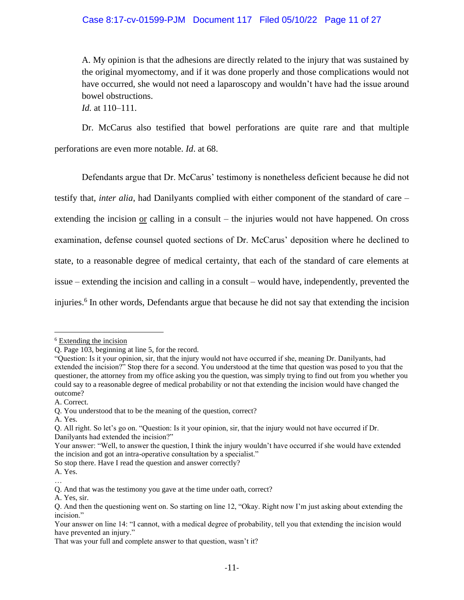# Case 8:17-cv-01599-PJM Document 117 Filed 05/10/22 Page 11 of 27

A. My opinion is that the adhesions are directly related to the injury that was sustained by the original myomectomy, and if it was done properly and those complications would not have occurred, she would not need a laparoscopy and wouldn't have had the issue around bowel obstructions.

*Id.* at 110–111.

Dr. McCarus also testified that bowel perforations are quite rare and that multiple perforations are even more notable. *Id*. at 68.

Defendants argue that Dr. McCarus' testimony is nonetheless deficient because he did not testify that, *inter alia*, had Danilyants complied with either component of the standard of care – extending the incision <u>or</u> calling in a consult – the injuries would not have happened. On cross examination, defense counsel quoted sections of Dr. McCarus' deposition where he declined to state, to a reasonable degree of medical certainty, that each of the standard of care elements at issue – extending the incision and calling in a consult – would have, independently, prevented the injuries.<sup>6</sup> In other words, Defendants argue that because he did not say that extending the incision

So stop there. Have I read the question and answer correctly?

A. Yes. …

<sup>6</sup> Extending the incision

Q. Page 103, beginning at line 5, for the record.

<sup>&</sup>quot;Question: Is it your opinion, sir, that the injury would not have occurred if she, meaning Dr. Danilyants, had extended the incision?" Stop there for a second. You understood at the time that question was posed to you that the questioner, the attorney from my office asking you the question, was simply trying to find out from you whether you could say to a reasonable degree of medical probability or not that extending the incision would have changed the outcome?

A. Correct.

Q. You understood that to be the meaning of the question, correct?

A. Yes.

Q. All right. So let's go on. "Question: Is it your opinion, sir, that the injury would not have occurred if Dr. Danilyants had extended the incision?"

Your answer: "Well, to answer the question, I think the injury wouldn't have occurred if she would have extended the incision and got an intra-operative consultation by a specialist."

Q. And that was the testimony you gave at the time under oath, correct?

A. Yes, sir.

Q. And then the questioning went on. So starting on line 12, "Okay. Right now I'm just asking about extending the incision."

Your answer on line 14: "I cannot, with a medical degree of probability, tell you that extending the incision would have prevented an injury."

That was your full and complete answer to that question, wasn't it?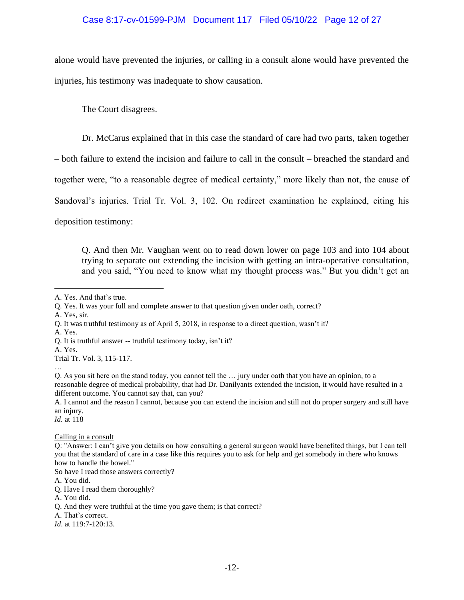# Case 8:17-cv-01599-PJM Document 117 Filed 05/10/22 Page 12 of 27

alone would have prevented the injuries, or calling in a consult alone would have prevented the injuries, his testimony was inadequate to show causation.

The Court disagrees.

Dr. McCarus explained that in this case the standard of care had two parts, taken together

– both failure to extend the incision and failure to call in the consult – breached the standard and

together were, "to a reasonable degree of medical certainty," more likely than not, the cause of

Sandoval's injuries. Trial Tr. Vol. 3, 102. On redirect examination he explained, citing his

deposition testimony:

Q. And then Mr. Vaughan went on to read down lower on page 103 and into 104 about trying to separate out extending the incision with getting an intra-operative consultation, and you said, "You need to know what my thought process was." But you didn't get an

A. Yes, sir.

A. Yes.

…

Q. As you sit here on the stand today, you cannot tell the … jury under oath that you have an opinion, to a reasonable degree of medical probability, that had Dr. Danilyants extended the incision, it would have resulted in a different outcome. You cannot say that, can you?

A. I cannot and the reason I cannot, because you can extend the incision and still not do proper surgery and still have an injury.

*Id.* at 118

Calling in a consult

Q: "Answer: I can't give you details on how consulting a general surgeon would have benefited things, but I can tell you that the standard of care in a case like this requires you to ask for help and get somebody in there who knows how to handle the bowel."

So have I read those answers correctly?

A. You did.

*Id*. at 119:7-120:13.

A. Yes. And that's true.

Q. Yes. It was your full and complete answer to that question given under oath, correct?

Q. It was truthful testimony as of April 5, 2018, in response to a direct question, wasn't it?

Q. It is truthful answer -- truthful testimony today, isn't it?

A. Yes. Trial Tr. Vol. 3, 115-117.

Q. Have I read them thoroughly?

A. You did.

Q. And they were truthful at the time you gave them; is that correct?

A. That's correct.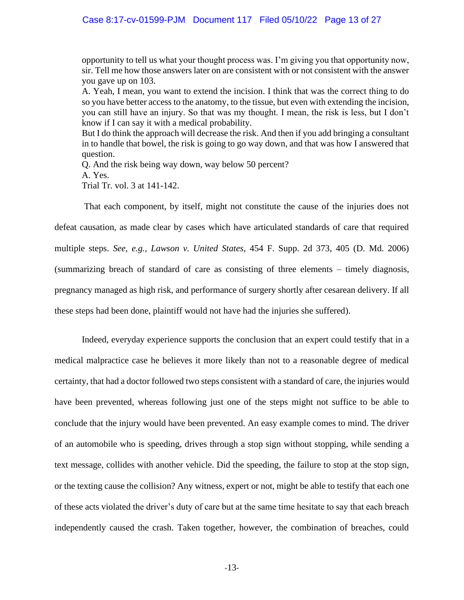opportunity to tell us what your thought process was. I'm giving you that opportunity now, sir. Tell me how those answers later on are consistent with or not consistent with the answer you gave up on 103.

A. Yeah, I mean, you want to extend the incision. I think that was the correct thing to do so you have better access to the anatomy, to the tissue, but even with extending the incision, you can still have an injury. So that was my thought. I mean, the risk is less, but I don't know if I can say it with a medical probability.

But I do think the approach will decrease the risk. And then if you add bringing a consultant in to handle that bowel, the risk is going to go way down, and that was how I answered that question.

Q. And the risk being way down, way below 50 percent? A. Yes. Trial Tr. vol. 3 at 141-142.

That each component, by itself, might not constitute the cause of the injuries does not defeat causation, as made clear by cases which have articulated standards of care that required multiple steps. *See, e.g., Lawson v. United States*, 454 F. Supp. 2d 373, 405 (D. Md. 2006) (summarizing breach of standard of care as consisting of three elements – timely diagnosis, pregnancy managed as high risk, and performance of surgery shortly after cesarean delivery. If all these steps had been done, plaintiff would not have had the injuries she suffered).

Indeed, everyday experience supports the conclusion that an expert could testify that in a medical malpractice case he believes it more likely than not to a reasonable degree of medical certainty, that had a doctor followed two steps consistent with a standard of care, the injuries would have been prevented, whereas following just one of the steps might not suffice to be able to conclude that the injury would have been prevented. An easy example comes to mind. The driver of an automobile who is speeding, drives through a stop sign without stopping, while sending a text message, collides with another vehicle. Did the speeding, the failure to stop at the stop sign, or the texting cause the collision? Any witness, expert or not, might be able to testify that each one of these acts violated the driver's duty of care but at the same time hesitate to say that each breach independently caused the crash. Taken together, however, the combination of breaches, could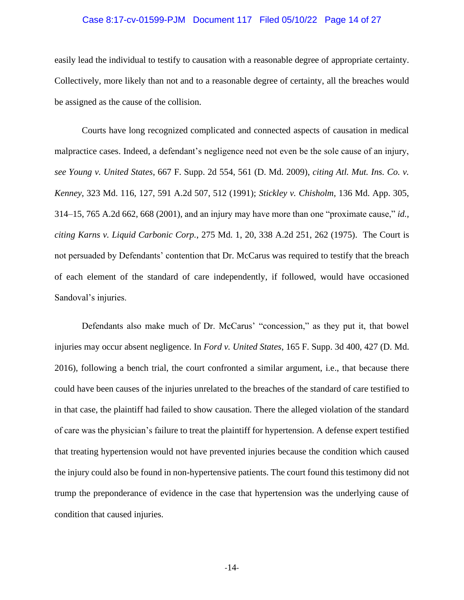### Case 8:17-cv-01599-PJM Document 117 Filed 05/10/22 Page 14 of 27

easily lead the individual to testify to causation with a reasonable degree of appropriate certainty. Collectively, more likely than not and to a reasonable degree of certainty, all the breaches would be assigned as the cause of the collision.

Courts have long recognized complicated and connected aspects of causation in medical malpractice cases. Indeed, a defendant's negligence need not even be the sole cause of an injury, *see Young v. United States*, 667 F. Supp. 2d 554, 561 (D. Md. 2009), *citing Atl. Mut. Ins. Co. v. Kenney*, 323 Md. 116, 127, 591 A.2d 507, 512 (1991); *Stickley v. Chisholm*, 136 Md. App. 305, 314–15, 765 A.2d 662, 668 (2001), and an injury may have more than one "proximate cause," *id., citing Karns v. Liquid Carbonic Corp.*, 275 Md. 1, 20, 338 A.2d 251, 262 (1975). The Court is not persuaded by Defendants' contention that Dr. McCarus was required to testify that the breach of each element of the standard of care independently, if followed, would have occasioned Sandoval's injuries.

Defendants also make much of Dr. McCarus' "concession," as they put it, that bowel injuries may occur absent negligence. In *Ford v. United States*, 165 F. Supp. 3d 400, 427 (D. Md. 2016), following a bench trial, the court confronted a similar argument, i.e., that because there could have been causes of the injuries unrelated to the breaches of the standard of care testified to in that case, the plaintiff had failed to show causation. There the alleged violation of the standard of care was the physician's failure to treat the plaintiff for hypertension. A defense expert testified that treating hypertension would not have prevented injuries because the condition which caused the injury could also be found in non-hypertensive patients. The court found this testimony did not trump the preponderance of evidence in the case that hypertension was the underlying cause of condition that caused injuries.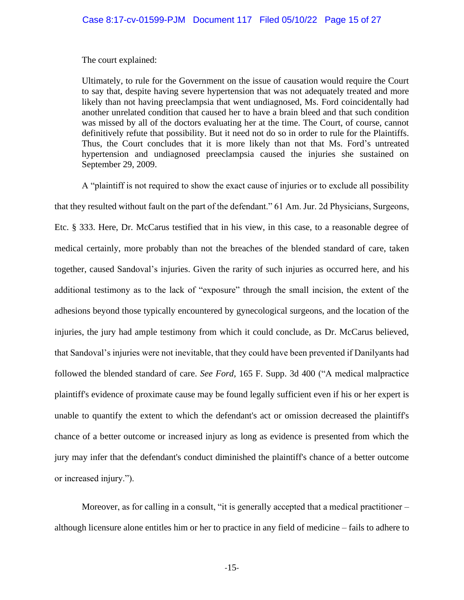The court explained:

Ultimately, to rule for the Government on the issue of causation would require the Court to say that, despite having severe hypertension that was not adequately treated and more likely than not having preeclampsia that went undiagnosed, Ms. Ford coincidentally had another unrelated condition that caused her to have a brain bleed and that such condition was missed by all of the doctors evaluating her at the time. The Court, of course, cannot definitively refute that possibility. But it need not do so in order to rule for the Plaintiffs. Thus, the Court concludes that it is more likely than not that Ms. Ford's untreated hypertension and undiagnosed preeclampsia caused the injuries she sustained on September 29, 2009.

A "plaintiff is not required to show the exact cause of injuries or to exclude all possibility that they resulted without fault on the part of the defendant." 61 Am. Jur. 2d Physicians, Surgeons, Etc. § 333. Here, Dr. McCarus testified that in his view, in this case, to a reasonable degree of medical certainly, more probably than not the breaches of the blended standard of care, taken together, caused Sandoval's injuries. Given the rarity of such injuries as occurred here, and his additional testimony as to the lack of "exposure" through the small incision, the extent of the adhesions beyond those typically encountered by gynecological surgeons, and the location of the injuries, the jury had ample testimony from which it could conclude, as Dr. McCarus believed, that Sandoval's injuries were not inevitable, that they could have been prevented if Danilyants had followed the blended standard of care. *See Ford*, 165 F. Supp. 3d 400 ("A medical malpractice plaintiff's evidence of proximate cause may be found legally sufficient even if his or her expert is unable to quantify the extent to which the defendant's act or omission decreased the plaintiff's chance of a better outcome or increased injury as long as evidence is presented from which the jury may infer that the defendant's conduct diminished the plaintiff's chance of a better outcome or increased injury.").

Moreover, as for calling in a consult, "it is generally accepted that a medical practitioner – although licensure alone entitles him or her to practice in any field of medicine – fails to adhere to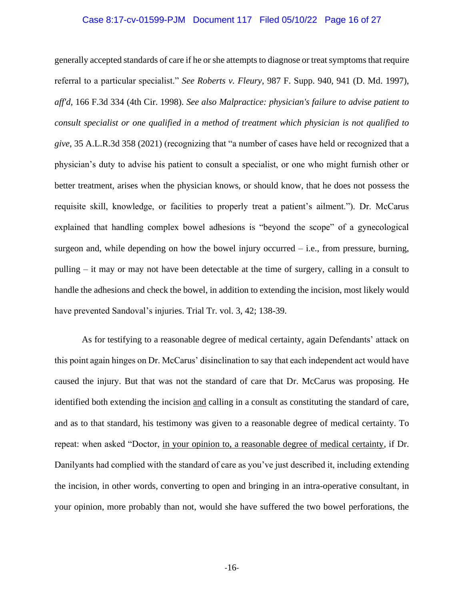### Case 8:17-cv-01599-PJM Document 117 Filed 05/10/22 Page 16 of 27

generally accepted standards of care if he or she attempts to diagnose or treat symptoms that require referral to a particular specialist." *See Roberts v. Fleury*, 987 F. Supp. 940, 941 (D. Md. 1997), *aff'd,* 166 F.3d 334 (4th Cir. 1998). *See also Malpractice: physician's failure to advise patient to consult specialist or one qualified in a method of treatment which physician is not qualified to give*, 35 A.L.R.3d 358 (2021) (recognizing that "a number of cases have held or recognized that a physician's duty to advise his patient to consult a specialist, or one who might furnish other or better treatment, arises when the physician knows, or should know, that he does not possess the requisite skill, knowledge, or facilities to properly treat a patient's ailment."). Dr. McCarus explained that handling complex bowel adhesions is "beyond the scope" of a gynecological surgeon and, while depending on how the bowel injury occurred – i.e., from pressure, burning, pulling – it may or may not have been detectable at the time of surgery, calling in a consult to handle the adhesions and check the bowel, in addition to extending the incision, most likely would have prevented Sandoval's injuries. Trial Tr. vol. 3, 42; 138-39.

As for testifying to a reasonable degree of medical certainty, again Defendants' attack on this point again hinges on Dr. McCarus' disinclination to say that each independent act would have caused the injury. But that was not the standard of care that Dr. McCarus was proposing. He identified both extending the incision and calling in a consult as constituting the standard of care, and as to that standard, his testimony was given to a reasonable degree of medical certainty. To repeat: when asked "Doctor, in your opinion to, a reasonable degree of medical certainty, if Dr. Danilyants had complied with the standard of care as you've just described it, including extending the incision, in other words, converting to open and bringing in an intra-operative consultant, in your opinion, more probably than not, would she have suffered the two bowel perforations, the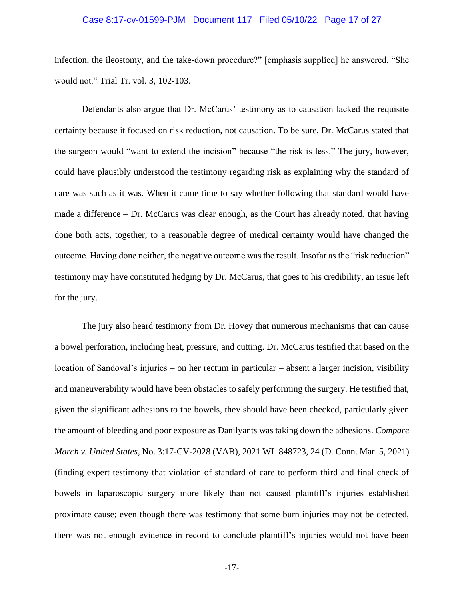### Case 8:17-cv-01599-PJM Document 117 Filed 05/10/22 Page 17 of 27

infection, the ileostomy, and the take-down procedure?" [emphasis supplied] he answered, "She would not." Trial Tr. vol. 3, 102-103.

Defendants also argue that Dr. McCarus' testimony as to causation lacked the requisite certainty because it focused on risk reduction, not causation. To be sure, Dr. McCarus stated that the surgeon would "want to extend the incision" because "the risk is less." The jury, however, could have plausibly understood the testimony regarding risk as explaining why the standard of care was such as it was. When it came time to say whether following that standard would have made a difference – Dr. McCarus was clear enough, as the Court has already noted, that having done both acts, together, to a reasonable degree of medical certainty would have changed the outcome. Having done neither, the negative outcome was the result. Insofar as the "risk reduction" testimony may have constituted hedging by Dr. McCarus, that goes to his credibility, an issue left for the jury.

The jury also heard testimony from Dr. Hovey that numerous mechanisms that can cause a bowel perforation, including heat, pressure, and cutting. Dr. McCarus testified that based on the location of Sandoval's injuries – on her rectum in particular – absent a larger incision, visibility and maneuverability would have been obstacles to safely performing the surgery. He testified that, given the significant adhesions to the bowels, they should have been checked, particularly given the amount of bleeding and poor exposure as Danilyants was taking down the adhesions. *Compare March v. United States*, No. 3:17-CV-2028 (VAB), 2021 WL 848723, 24 (D. Conn. Mar. 5, 2021) (finding expert testimony that violation of standard of care to perform third and final check of bowels in laparoscopic surgery more likely than not caused plaintiff's injuries established proximate cause; even though there was testimony that some burn injuries may not be detected, there was not enough evidence in record to conclude plaintiff's injuries would not have been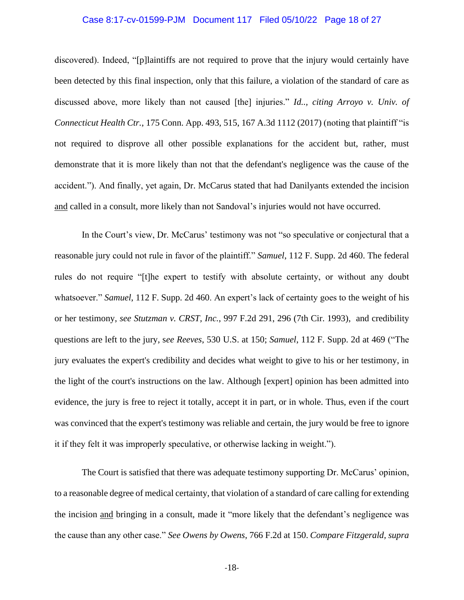### Case 8:17-cv-01599-PJM Document 117 Filed 05/10/22 Page 18 of 27

discovered). Indeed, "[p]laintiffs are not required to prove that the injury would certainly have been detected by this final inspection, only that this failure, a violation of the standard of care as discussed above, more likely than not caused [the] injuries." *Id.., citing Arroyo v. Univ. of Connecticut Health Ctr.*, 175 Conn. App. 493, 515, 167 A.3d 1112 (2017) (noting that plaintiff "is not required to disprove all other possible explanations for the accident but, rather, must demonstrate that it is more likely than not that the defendant's negligence was the cause of the accident."). And finally, yet again, Dr. McCarus stated that had Danilyants extended the incision and called in a consult, more likely than not Sandoval's injuries would not have occurred.

In the Court's view, Dr. McCarus' testimony was not "so speculative or conjectural that a reasonable jury could not rule in favor of the plaintiff." *Samuel*, 112 F. Supp. 2d 460. The federal rules do not require "[t]he expert to testify with absolute certainty, or without any doubt whatsoever." *Samuel*, 112 F. Supp. 2d 460. An expert's lack of certainty goes to the weight of his or her testimony, *see Stutzman v. CRST, Inc.*, 997 F.2d 291, 296 (7th Cir. 1993), and credibility questions are left to the jury, s*ee Reeves*, 530 U.S. at 150; *Samuel*, 112 F. Supp. 2d at 469 ("The jury evaluates the expert's credibility and decides what weight to give to his or her testimony, in the light of the court's instructions on the law. Although [expert] opinion has been admitted into evidence, the jury is free to reject it totally, accept it in part, or in whole. Thus, even if the court was convinced that the expert's testimony was reliable and certain, the jury would be free to ignore it if they felt it was improperly speculative, or otherwise lacking in weight.").

The Court is satisfied that there was adequate testimony supporting Dr. McCarus' opinion, to a reasonable degree of medical certainty, that violation of a standard of care calling for extending the incision and bringing in a consult, made it "more likely that the defendant's negligence was the cause than any other case." *See Owens by Owens*, 766 F.2d at 150. *Compare Fitzgerald, supra*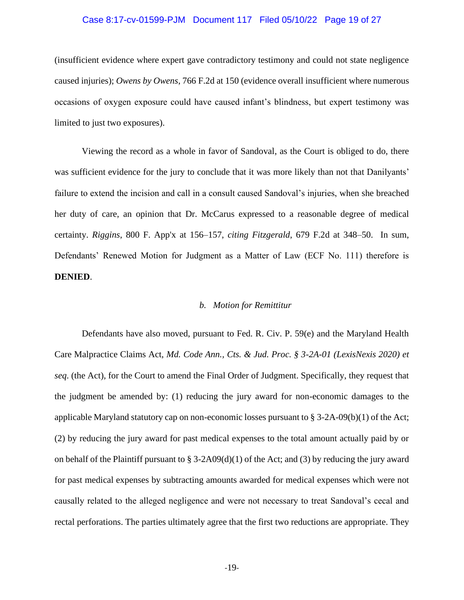### Case 8:17-cv-01599-PJM Document 117 Filed 05/10/22 Page 19 of 27

(insufficient evidence where expert gave contradictory testimony and could not state negligence caused injuries); *Owens by Owens*, 766 F.2d at 150 (evidence overall insufficient where numerous occasions of oxygen exposure could have caused infant's blindness, but expert testimony was limited to just two exposures).

Viewing the record as a whole in favor of Sandoval, as the Court is obliged to do, there was sufficient evidence for the jury to conclude that it was more likely than not that Danilyants' failure to extend the incision and call in a consult caused Sandoval's injuries, when she breached her duty of care, an opinion that Dr. McCarus expressed to a reasonable degree of medical certainty. *Riggins*, 800 F. App'x at 156–157, *citing Fitzgerald*, 679 F.2d at 348–50. In sum, Defendants' Renewed Motion for Judgment as a Matter of Law (ECF No. 111) therefore is **DENIED**.

#### *b. Motion for Remittitur*

Defendants have also moved, pursuant to Fed. R. Civ. P. 59(e) and the Maryland Health Care Malpractice Claims Act, *Md. Code Ann., Cts. & Jud. Proc. § 3-2A-01 (LexisNexis 2020) et seq*. (the Act), for the Court to amend the Final Order of Judgment. Specifically, they request that the judgment be amended by: (1) reducing the jury award for non-economic damages to the applicable Maryland statutory cap on non-economic losses pursuant to § 3-2A-09(b)(1) of the Act; (2) by reducing the jury award for past medical expenses to the total amount actually paid by or on behalf of the Plaintiff pursuant to § 3-2A09(d)(1) of the Act; and (3) by reducing the jury award for past medical expenses by subtracting amounts awarded for medical expenses which were not causally related to the alleged negligence and were not necessary to treat Sandoval's cecal and rectal perforations. The parties ultimately agree that the first two reductions are appropriate. They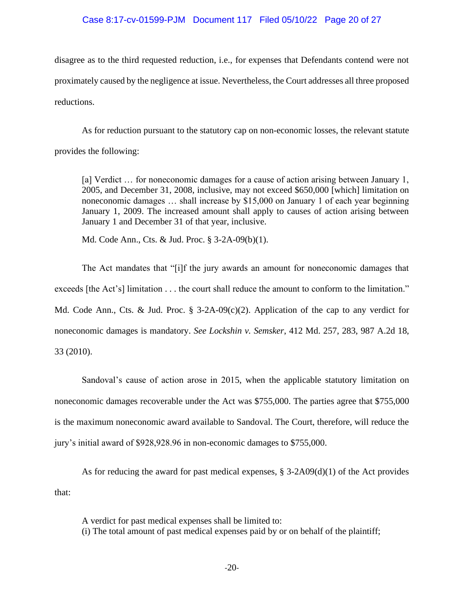### Case 8:17-cv-01599-PJM Document 117 Filed 05/10/22 Page 20 of 27

disagree as to the third requested reduction, i.e., for expenses that Defendants contend were not proximately caused by the negligence at issue. Nevertheless, the Court addresses all three proposed reductions.

As for reduction pursuant to the statutory cap on non-economic losses, the relevant statute provides the following:

[a] Verdict … for noneconomic damages for a cause of action arising between January 1, 2005, and December 31, 2008, inclusive, may not exceed \$650,000 [which] limitation on noneconomic damages … shall increase by \$15,000 on January 1 of each year beginning January 1, 2009. The increased amount shall apply to causes of action arising between January 1 and December 31 of that year, inclusive.

Md. Code Ann., Cts. & Jud. Proc. § 3-2A-09(b)(1).

The Act mandates that "[i]f the jury awards an amount for noneconomic damages that exceeds [the Act's] limitation . . . the court shall reduce the amount to conform to the limitation." Md. Code Ann., Cts. & Jud. Proc.  $\S$  3-2A-09(c)(2). Application of the cap to any verdict for noneconomic damages is mandatory. *See Lockshin v. Semsker*, 412 Md. 257, 283, 987 A.2d 18, 33 (2010).

Sandoval's cause of action arose in 2015, when the applicable statutory limitation on noneconomic damages recoverable under the Act was \$755,000. The parties agree that \$755,000 is the maximum noneconomic award available to Sandoval. The Court, therefore, will reduce the jury's initial award of \$928,928.96 in non-economic damages to \$755,000.

As for reducing the award for past medical expenses,  $\S 3\n-2A09(d)(1)$  of the Act provides that:

A verdict for past medical expenses shall be limited to:

(i) The total amount of past medical expenses paid by or on behalf of the plaintiff;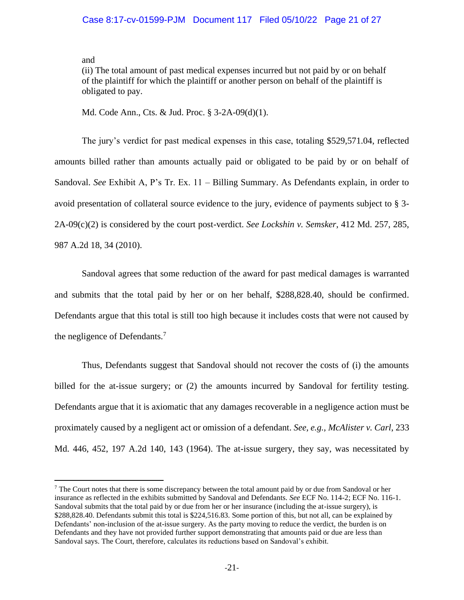and

(ii) The total amount of past medical expenses incurred but not paid by or on behalf of the plaintiff for which the plaintiff or another person on behalf of the plaintiff is obligated to pay.

Md. Code Ann., Cts. & Jud. Proc. § 3-2A-09(d)(1).

The jury's verdict for past medical expenses in this case, totaling \$529,571.04, reflected amounts billed rather than amounts actually paid or obligated to be paid by or on behalf of Sandoval. *See* Exhibit A, P's Tr. Ex. 11 – Billing Summary. As Defendants explain, in order to avoid presentation of collateral source evidence to the jury, evidence of payments subject to § 3- 2A-09(c)(2) is considered by the court post-verdict. *See Lockshin v. Semsker*, 412 Md. 257, 285, 987 A.2d 18, 34 (2010).

Sandoval agrees that some reduction of the award for past medical damages is warranted and submits that the total paid by her or on her behalf, \$288,828.40, should be confirmed. Defendants argue that this total is still too high because it includes costs that were not caused by the negligence of Defendants.<sup>7</sup>

Thus, Defendants suggest that Sandoval should not recover the costs of (i) the amounts billed for the at-issue surgery; or (2) the amounts incurred by Sandoval for fertility testing. Defendants argue that it is axiomatic that any damages recoverable in a negligence action must be proximately caused by a negligent act or omission of a defendant. *See, e.g., McAlister v. Carl*, 233 Md. 446, 452, 197 A.2d 140, 143 (1964). The at-issue surgery, they say, was necessitated by

 $<sup>7</sup>$  The Court notes that there is some discrepancy between the total amount paid by or due from Sandoval or her</sup> insurance as reflected in the exhibits submitted by Sandoval and Defendants. *See* ECF No. 114-2; ECF No. 116-1. Sandoval submits that the total paid by or due from her or her insurance (including the at-issue surgery), is \$288,828.40. Defendants submit this total is \$224,516.83. Some portion of this, but not all, can be explained by Defendants' non-inclusion of the at-issue surgery. As the party moving to reduce the verdict, the burden is on Defendants and they have not provided further support demonstrating that amounts paid or due are less than Sandoval says. The Court, therefore, calculates its reductions based on Sandoval's exhibit.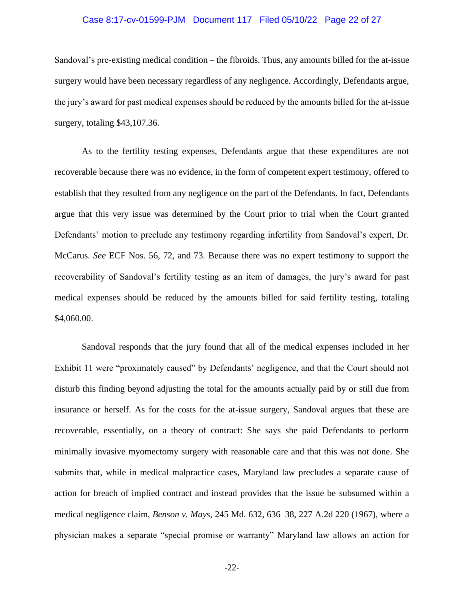### Case 8:17-cv-01599-PJM Document 117 Filed 05/10/22 Page 22 of 27

Sandoval's pre-existing medical condition – the fibroids. Thus, any amounts billed for the at-issue surgery would have been necessary regardless of any negligence. Accordingly, Defendants argue, the jury's award for past medical expenses should be reduced by the amounts billed for the at-issue surgery, totaling \$43,107.36.

As to the fertility testing expenses, Defendants argue that these expenditures are not recoverable because there was no evidence, in the form of competent expert testimony, offered to establish that they resulted from any negligence on the part of the Defendants. In fact, Defendants argue that this very issue was determined by the Court prior to trial when the Court granted Defendants' motion to preclude any testimony regarding infertility from Sandoval's expert, Dr. McCarus. *See* ECF Nos. 56, 72, and 73. Because there was no expert testimony to support the recoverability of Sandoval's fertility testing as an item of damages, the jury's award for past medical expenses should be reduced by the amounts billed for said fertility testing, totaling \$4,060.00.

Sandoval responds that the jury found that all of the medical expenses included in her Exhibit 11 were "proximately caused" by Defendants' negligence, and that the Court should not disturb this finding beyond adjusting the total for the amounts actually paid by or still due from insurance or herself. As for the costs for the at-issue surgery, Sandoval argues that these are recoverable, essentially, on a theory of contract: She says she paid Defendants to perform minimally invasive myomectomy surgery with reasonable care and that this was not done. She submits that, while in medical malpractice cases, Maryland law precludes a separate cause of action for breach of implied contract and instead provides that the issue be subsumed within a medical negligence claim, *Benson v. Mays*, 245 Md. 632, 636–38, 227 A.2d 220 (1967), where a physician makes a separate "special promise or warranty" Maryland law allows an action for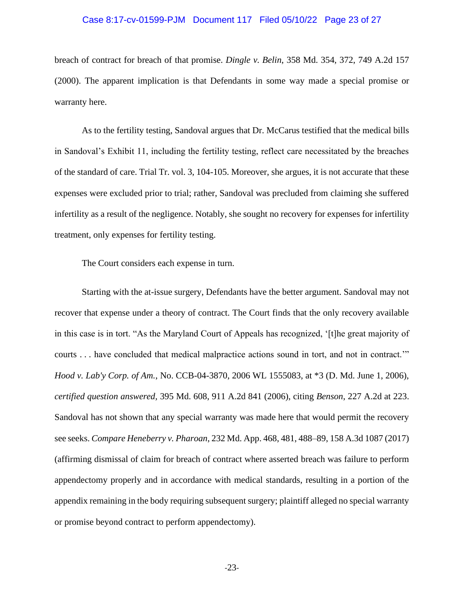### Case 8:17-cv-01599-PJM Document 117 Filed 05/10/22 Page 23 of 27

breach of contract for breach of that promise. *Dingle v. Belin*, 358 Md. 354, 372, 749 A.2d 157 (2000). The apparent implication is that Defendants in some way made a special promise or warranty here.

As to the fertility testing, Sandoval argues that Dr. McCarus testified that the medical bills in Sandoval's Exhibit 11, including the fertility testing, reflect care necessitated by the breaches of the standard of care. Trial Tr. vol. 3, 104-105. Moreover, she argues, it is not accurate that these expenses were excluded prior to trial; rather, Sandoval was precluded from claiming she suffered infertility as a result of the negligence. Notably, she sought no recovery for expenses for infertility treatment, only expenses for fertility testing.

The Court considers each expense in turn.

Starting with the at-issue surgery, Defendants have the better argument. Sandoval may not recover that expense under a theory of contract. The Court finds that the only recovery available in this case is in tort. "As the Maryland Court of Appeals has recognized, '[t]he great majority of courts . . . have concluded that medical malpractice actions sound in tort, and not in contract.'" *Hood v. Lab'y Corp. of Am.*, No. CCB-04-3870, 2006 WL 1555083, at \*3 (D. Md. June 1, 2006), *certified question answered,* 395 Md. 608, 911 A.2d 841 (2006), citing *Benson*, 227 A.2d at 223. Sandoval has not shown that any special warranty was made here that would permit the recovery see seeks. *Compare Heneberry v. Pharoan*, 232 Md. App. 468, 481, 488–89, 158 A.3d 1087 (2017) (affirming dismissal of claim for breach of contract where asserted breach was failure to perform appendectomy properly and in accordance with medical standards, resulting in a portion of the appendix remaining in the body requiring subsequent surgery; plaintiff alleged no special warranty or promise beyond contract to perform appendectomy).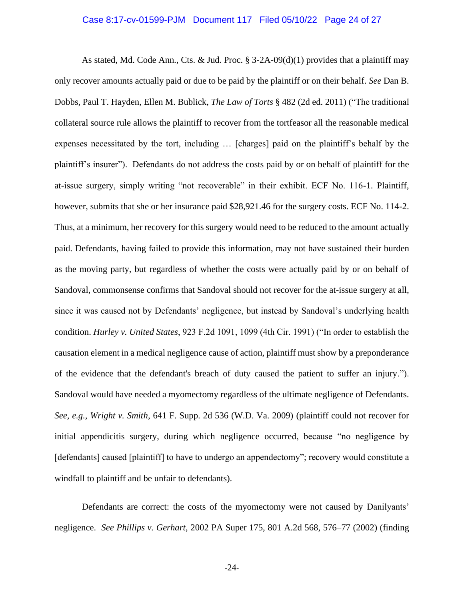### Case 8:17-cv-01599-PJM Document 117 Filed 05/10/22 Page 24 of 27

As stated, Md. Code Ann., Cts. & Jud. Proc. § 3-2A-09(d)(1) provides that a plaintiff may only recover amounts actually paid or due to be paid by the plaintiff or on their behalf. *See* Dan B. Dobbs, Paul T. Hayden, Ellen M. Bublick, *The Law of Torts* § 482 (2d ed. 2011) ("The traditional collateral source rule allows the plaintiff to recover from the tortfeasor all the reasonable medical expenses necessitated by the tort, including … [charges] paid on the plaintiff's behalf by the plaintiff's insurer"). Defendants do not address the costs paid by or on behalf of plaintiff for the at-issue surgery, simply writing "not recoverable" in their exhibit. ECF No. 116-1. Plaintiff, however, submits that she or her insurance paid \$28,921.46 for the surgery costs. ECF No. 114-2. Thus, at a minimum, her recovery for this surgery would need to be reduced to the amount actually paid. Defendants, having failed to provide this information, may not have sustained their burden as the moving party, but regardless of whether the costs were actually paid by or on behalf of Sandoval, commonsense confirms that Sandoval should not recover for the at-issue surgery at all, since it was caused not by Defendants' negligence, but instead by Sandoval's underlying health condition. *Hurley v. United States*, 923 F.2d 1091, 1099 (4th Cir. 1991) ("In order to establish the causation element in a medical negligence cause of action, plaintiff must show by a preponderance of the evidence that the defendant's breach of duty caused the patient to suffer an injury."). Sandoval would have needed a myomectomy regardless of the ultimate negligence of Defendants. *See, e.g., Wright v. Smith*, 641 F. Supp. 2d 536 (W.D. Va. 2009) (plaintiff could not recover for initial appendicitis surgery, during which negligence occurred, because "no negligence by [defendants] caused [plaintiff] to have to undergo an appendectomy"; recovery would constitute a windfall to plaintiff and be unfair to defendants).

Defendants are correct: the costs of the myomectomy were not caused by Danilyants' negligence. *See Phillips v. Gerhart*, 2002 PA Super 175, 801 A.2d 568, 576–77 (2002) (finding

-24-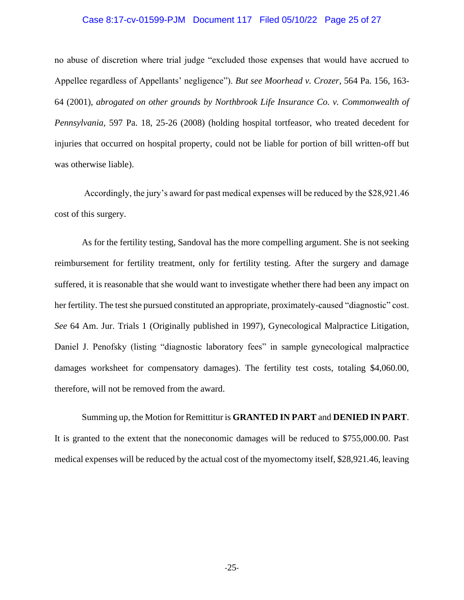### Case 8:17-cv-01599-PJM Document 117 Filed 05/10/22 Page 25 of 27

no abuse of discretion where trial judge "excluded those expenses that would have accrued to Appellee regardless of Appellants' negligence"). *But see Moorhead v. Crozer*, 564 Pa. 156, 163- 64 (2001), *abrogated on other grounds by Northbrook Life Insurance Co. v. Commonwealth of Pennsylvania,* 597 Pa. 18, 25-26 (2008) (holding hospital tortfeasor, who treated decedent for injuries that occurred on hospital property, could not be liable for portion of bill written-off but was otherwise liable).

Accordingly, the jury's award for past medical expenses will be reduced by the \$28,921.46 cost of this surgery.

As for the fertility testing, Sandoval has the more compelling argument. She is not seeking reimbursement for fertility treatment, only for fertility testing. After the surgery and damage suffered, it is reasonable that she would want to investigate whether there had been any impact on her fertility. The test she pursued constituted an appropriate, proximately-caused "diagnostic" cost. *See* 64 Am. Jur. Trials 1 (Originally published in 1997), Gynecological Malpractice Litigation, Daniel J. Penofsky (listing "diagnostic laboratory fees" in sample gynecological malpractice damages worksheet for compensatory damages). The fertility test costs, totaling \$4,060.00, therefore, will not be removed from the award.

Summing up, the Motion for Remittitur is **GRANTED IN PART** and **DENIED IN PART**. It is granted to the extent that the noneconomic damages will be reduced to \$755,000.00. Past medical expenses will be reduced by the actual cost of the myomectomy itself, \$28,921.46, leaving

-25-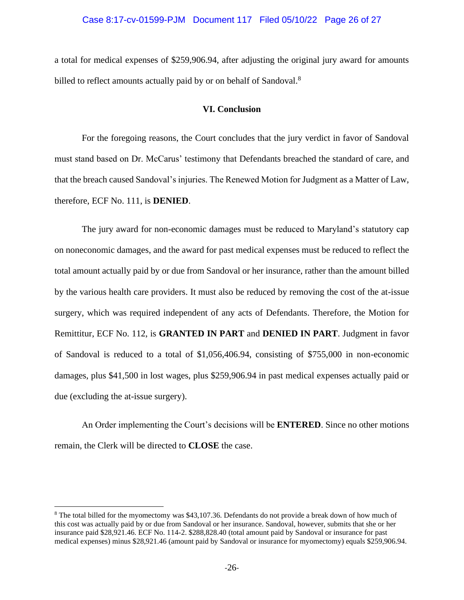### Case 8:17-cv-01599-PJM Document 117 Filed 05/10/22 Page 26 of 27

a total for medical expenses of \$259,906.94, after adjusting the original jury award for amounts billed to reflect amounts actually paid by or on behalf of Sandoval.<sup>8</sup>

### **VI. Conclusion**

For the foregoing reasons, the Court concludes that the jury verdict in favor of Sandoval must stand based on Dr. McCarus' testimony that Defendants breached the standard of care, and that the breach caused Sandoval's injuries. The Renewed Motion for Judgment as a Matter of Law, therefore, ECF No. 111, is **DENIED**.

The jury award for non-economic damages must be reduced to Maryland's statutory cap on noneconomic damages, and the award for past medical expenses must be reduced to reflect the total amount actually paid by or due from Sandoval or her insurance, rather than the amount billed by the various health care providers. It must also be reduced by removing the cost of the at-issue surgery, which was required independent of any acts of Defendants. Therefore, the Motion for Remittitur, ECF No. 112, is **GRANTED IN PART** and **DENIED IN PART**. Judgment in favor of Sandoval is reduced to a total of \$1,056,406.94, consisting of \$755,000 in non-economic damages, plus \$41,500 in lost wages, plus \$259,906.94 in past medical expenses actually paid or due (excluding the at-issue surgery).

An Order implementing the Court's decisions will be **ENTERED**. Since no other motions remain, the Clerk will be directed to **CLOSE** the case.

<sup>&</sup>lt;sup>8</sup> The total billed for the myomectomy was \$43,107.36. Defendants do not provide a break down of how much of this cost was actually paid by or due from Sandoval or her insurance. Sandoval, however, submits that she or her insurance paid \$28,921.46. ECF No. 114-2. \$288,828.40 (total amount paid by Sandoval or insurance for past medical expenses) minus \$28,921.46 (amount paid by Sandoval or insurance for myomectomy) equals \$259,906.94.